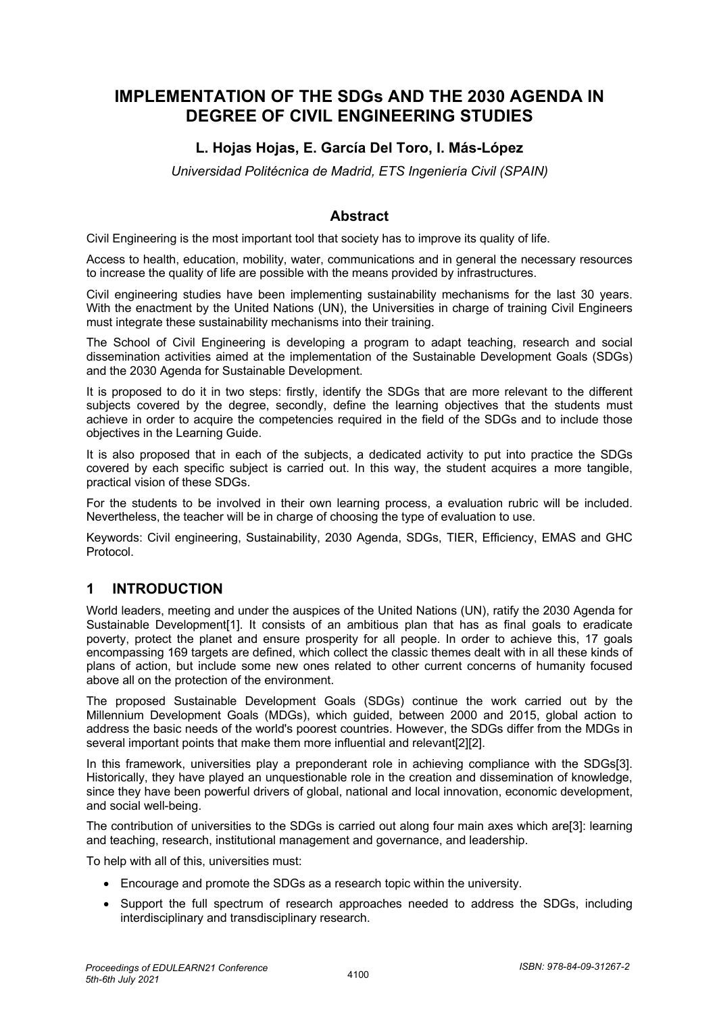# **IMPLEMENTATION OF THE SDGs AND THE 2030 AGENDA IN DEGREE OF CIVIL ENGINEERING STUDIES**

## **L. Hojas Hojas, E. García Del Toro, I. Más-López**

*Universidad Politécnica de Madrid, ETS Ingeniería Civil (SPAIN)*

#### **Abstract**

Civil Engineering is the most important tool that society has to improve its quality of life.

Access to health, education, mobility, water, communications and in general the necessary resources to increase the quality of life are possible with the means provided by infrastructures.

Civil engineering studies have been implementing sustainability mechanisms for the last 30 years. With the enactment by the United Nations (UN), the Universities in charge of training Civil Engineers must integrate these sustainability mechanisms into their training.

The School of Civil Engineering is developing a program to adapt teaching, research and social dissemination activities aimed at the implementation of the Sustainable Development Goals (SDGs) and the 2030 Agenda for Sustainable Development.

It is proposed to do it in two steps: firstly, identify the SDGs that are more relevant to the different subjects covered by the degree, secondly, define the learning objectives that the students must achieve in order to acquire the competencies required in the field of the SDGs and to include those objectives in the Learning Guide.

It is also proposed that in each of the subjects, a dedicated activity to put into practice the SDGs covered by each specific subject is carried out. In this way, the student acquires a more tangible, practical vision of these SDGs.

For the students to be involved in their own learning process, a evaluation rubric will be included. Nevertheless, the teacher will be in charge of choosing the type of evaluation to use.

Keywords: Civil engineering, Sustainability, 2030 Agenda, SDGs, TIER, Efficiency, EMAS and GHC Protocol.

### **1 INTRODUCTION**

World leaders, meeting and under the auspices of the United Nations (UN), ratify the 2030 Agenda for Sustainable Development[1]. It consists of an ambitious plan that has as final goals to eradicate poverty, protect the planet and ensure prosperity for all people. In order to achieve this, 17 goals encompassing 169 targets are defined, which collect the classic themes dealt with in all these kinds of plans of action, but include some new ones related to other current concerns of humanity focused above all on the protection of the environment.

The proposed Sustainable Development Goals (SDGs) continue the work carried out by the Millennium Development Goals (MDGs), which guided, between 2000 and 2015, global action to address the basic needs of the world's poorest countries. However, the SDGs differ from the MDGs in several important points that make them more influential and relevant[2][2].

In this framework, universities play a preponderant role in achieving compliance with the SDGs[3]. Historically, they have played an unquestionable role in the creation and dissemination of knowledge, since they have been powerful drivers of global, national and local innovation, economic development, and social well-being.

The contribution of universities to the SDGs is carried out along four main axes which are[3]: learning and teaching, research, institutional management and governance, and leadership.

To help with all of this, universities must:

- Encourage and promote the SDGs as a research topic within the university.
- Support the full spectrum of research approaches needed to address the SDGs, including interdisciplinary and transdisciplinary research.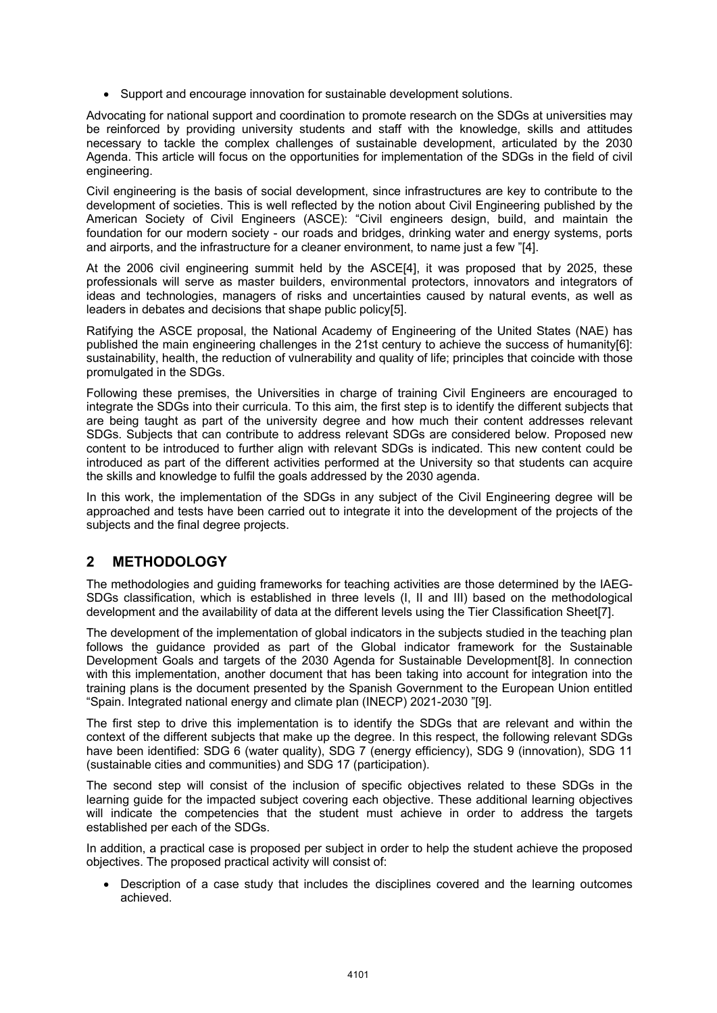• Support and encourage innovation for sustainable development solutions.

Advocating for national support and coordination to promote research on the SDGs at universities may be reinforced by providing university students and staff with the knowledge, skills and attitudes necessary to tackle the complex challenges of sustainable development, articulated by the 2030 Agenda. This article will focus on the opportunities for implementation of the SDGs in the field of civil engineering.

Civil engineering is the basis of social development, since infrastructures are key to contribute to the development of societies. This is well reflected by the notion about Civil Engineering published by the American Society of Civil Engineers (ASCE): "Civil engineers design, build, and maintain the foundation for our modern society - our roads and bridges, drinking water and energy systems, ports and airports, and the infrastructure for a cleaner environment, to name just a few "[4].

At the 2006 civil engineering summit held by the ASCE[4], it was proposed that by 2025, these professionals will serve as master builders, environmental protectors, innovators and integrators of ideas and technologies, managers of risks and uncertainties caused by natural events, as well as leaders in debates and decisions that shape public policy[5].

Ratifying the ASCE proposal, the National Academy of Engineering of the United States (NAE) has published the main engineering challenges in the 21st century to achieve the success of humanity[6]: sustainability, health, the reduction of vulnerability and quality of life; principles that coincide with those promulgated in the SDGs.

Following these premises, the Universities in charge of training Civil Engineers are encouraged to integrate the SDGs into their curricula. To this aim, the first step is to identify the different subjects that are being taught as part of the university degree and how much their content addresses relevant SDGs. Subjects that can contribute to address relevant SDGs are considered below. Proposed new content to be introduced to further align with relevant SDGs is indicated. This new content could be introduced as part of the different activities performed at the University so that students can acquire the skills and knowledge to fulfil the goals addressed by the 2030 agenda.

In this work, the implementation of the SDGs in any subject of the Civil Engineering degree will be approached and tests have been carried out to integrate it into the development of the projects of the subjects and the final degree projects.

# **2 METHODOLOGY**

The methodologies and guiding frameworks for teaching activities are those determined by the IAEG-SDGs classification, which is established in three levels (I, II and III) based on the methodological development and the availability of data at the different levels using the Tier Classification Sheet[7].

The development of the implementation of global indicators in the subjects studied in the teaching plan follows the guidance provided as part of the Global indicator framework for the Sustainable Development Goals and targets of the 2030 Agenda for Sustainable Development[8]. In connection with this implementation, another document that has been taking into account for integration into the training plans is the document presented by the Spanish Government to the European Union entitled "Spain. Integrated national energy and climate plan (INECP) 2021-2030 "[9].

The first step to drive this implementation is to identify the SDGs that are relevant and within the context of the different subjects that make up the degree. In this respect, the following relevant SDGs have been identified: SDG 6 (water quality), SDG 7 (energy efficiency), SDG 9 (innovation), SDG 11 (sustainable cities and communities) and SDG 17 (participation).

The second step will consist of the inclusion of specific objectives related to these SDGs in the learning guide for the impacted subject covering each objective. These additional learning objectives will indicate the competencies that the student must achieve in order to address the targets established per each of the SDGs.

In addition, a practical case is proposed per subject in order to help the student achieve the proposed objectives. The proposed practical activity will consist of:

• Description of a case study that includes the disciplines covered and the learning outcomes achieved.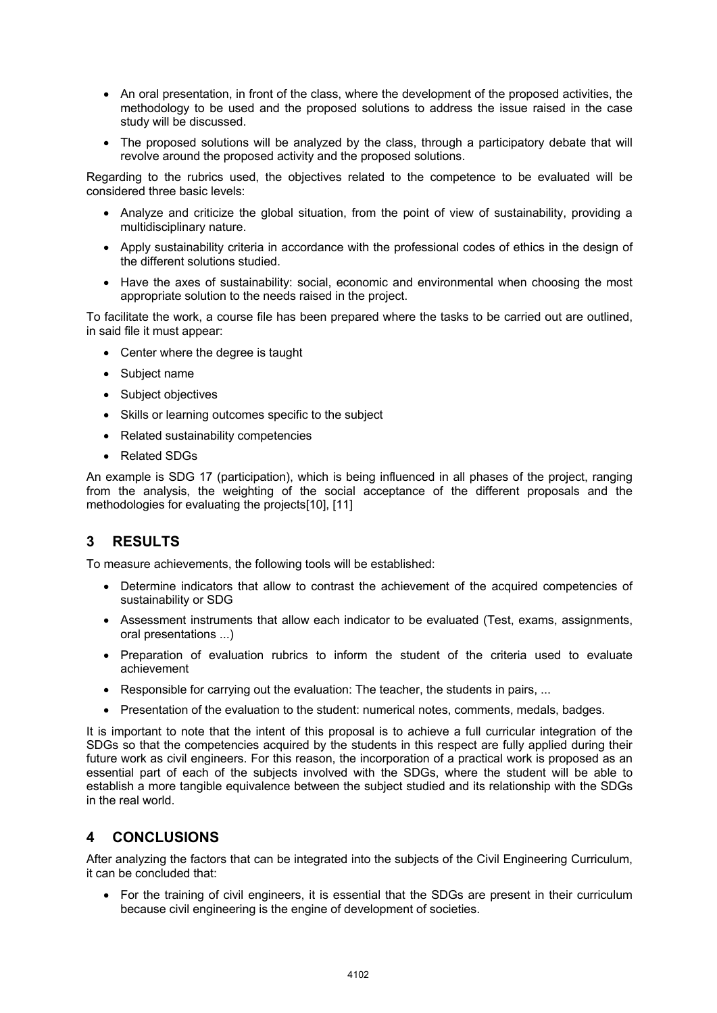- An oral presentation, in front of the class, where the development of the proposed activities, the methodology to be used and the proposed solutions to address the issue raised in the case study will be discussed.
- The proposed solutions will be analyzed by the class, through a participatory debate that will revolve around the proposed activity and the proposed solutions.

Regarding to the rubrics used, the objectives related to the competence to be evaluated will be considered three basic levels:

- Analyze and criticize the global situation, from the point of view of sustainability, providing a multidisciplinary nature.
- Apply sustainability criteria in accordance with the professional codes of ethics in the design of the different solutions studied.
- Have the axes of sustainability: social, economic and environmental when choosing the most appropriate solution to the needs raised in the project.

To facilitate the work, a course file has been prepared where the tasks to be carried out are outlined, in said file it must appear:

- Center where the degree is taught
- Subject name
- Subject objectives
- Skills or learning outcomes specific to the subject
- Related sustainability competencies
- Related SDGs

An example is SDG 17 (participation), which is being influenced in all phases of the project, ranging from the analysis, the weighting of the social acceptance of the different proposals and the methodologies for evaluating the projects[10], [11]

# **3 RESULTS**

To measure achievements, the following tools will be established:

- Determine indicators that allow to contrast the achievement of the acquired competencies of sustainability or SDG
- Assessment instruments that allow each indicator to be evaluated (Test, exams, assignments, oral presentations ...)
- Preparation of evaluation rubrics to inform the student of the criteria used to evaluate achievement
- Responsible for carrying out the evaluation: The teacher, the students in pairs, ...
- Presentation of the evaluation to the student: numerical notes, comments, medals, badges.

It is important to note that the intent of this proposal is to achieve a full curricular integration of the SDGs so that the competencies acquired by the students in this respect are fully applied during their future work as civil engineers. For this reason, the incorporation of a practical work is proposed as an essential part of each of the subjects involved with the SDGs, where the student will be able to establish a more tangible equivalence between the subject studied and its relationship with the SDGs in the real world.

#### **4 CONCLUSIONS**

After analyzing the factors that can be integrated into the subjects of the Civil Engineering Curriculum, it can be concluded that:

• For the training of civil engineers, it is essential that the SDGs are present in their curriculum because civil engineering is the engine of development of societies.